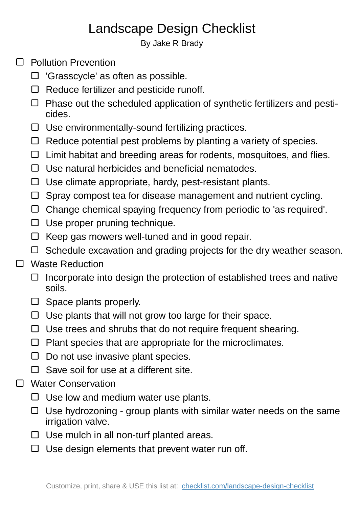## Landscape Design Checklist

By Jake R Brady

- □ Pollution Prevention
	- □ 'Grasscycle' as often as possible.
	- $\square$  Reduce fertilizer and pesticide runoff.
	- $\Box$  Phase out the scheduled application of synthetic fertilizers and pesticides.
	- $\Box$  Use environmentally-sound fertilizing practices.
	- $\Box$  Reduce potential pest problems by planting a variety of species.
	- $\Box$  Limit habitat and breeding areas for rodents, mosquitoes, and flies.
	- $\Box$  Use natural herbicides and beneficial nematodes.
	- $\Box$  Use climate appropriate, hardy, pest-resistant plants.
	- $\square$  Spray compost tea for disease management and nutrient cycling.
	- $\Box$  Change chemical spaying frequency from periodic to 'as required'.
	- $\Box$  Use proper pruning technique.
	- $\Box$  Keep gas mowers well-tuned and in good repair.
	- $\Box$  Schedule excavation and grading projects for the dry weather season.
- □ Waste Reduction
	- $\Box$  Incorporate into design the protection of established trees and native soils.
	- $\square$  Space plants properly.
	- $\Box$  Use plants that will not grow too large for their space.
	- $\Box$  Use trees and shrubs that do not require frequent shearing.
	- $\Box$  Plant species that are appropriate for the microclimates.
	- $\Box$  Do not use invasive plant species.
	- $\Box$  Save soil for use at a different site.
- □ Water Conservation
	- $\Box$  Use low and medium water use plants.
	- $\Box$  Use hydrozoning group plants with similar water needs on the same irrigation valve.
	- $\Box$  Use mulch in all non-turf planted areas.
	- $\Box$  Use design elements that prevent water run off.